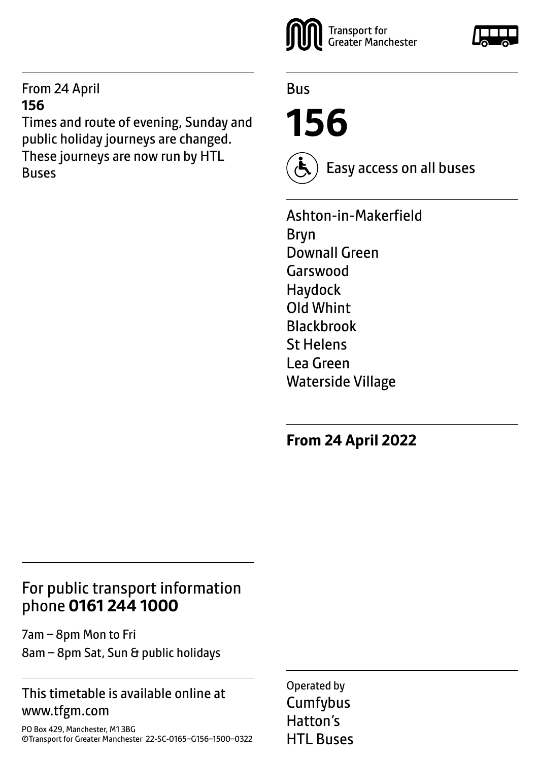### From 24 April **156**

Times and route of evening, Sunday and public holiday journeys are changed. These journeys are now run by HTL Buses



Bus

**156**



Easy access on all buses

Ashton-in-Makerfield Bryn Downall Green Garswood Haydock Old Whint Blackbrook St Helens Lea Green Waterside Village

**From 24 April 2022**

### For public transport information phone **0161 244 1000**

7am – 8pm Mon to Fri 8am – 8pm Sat, Sun & public holidays

### This timetable is available online at www.tfgm.com

PO Box 429, Manchester, M1 3BG ©Transport for Greater Manchester 22-SC-0165–G156–1500–0322 Operated by **Cumfybus** Hatton's HTL Buses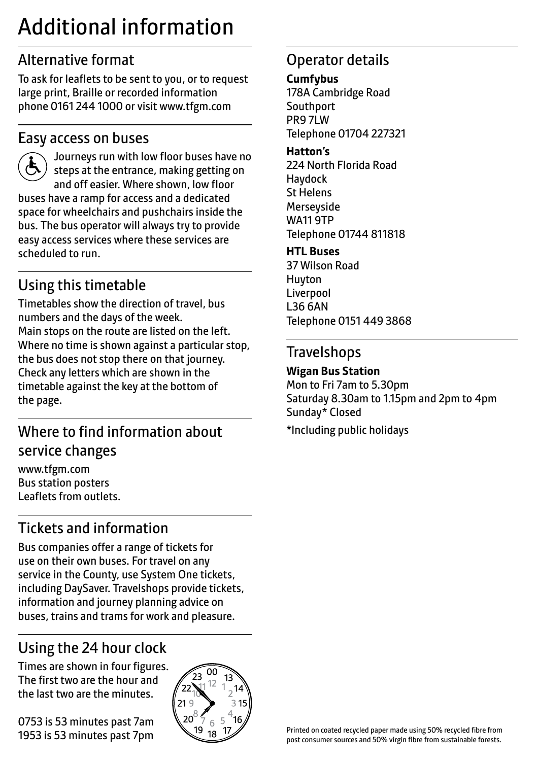# Additional information

# Alternative format

To ask for leaflets to be sent to you, or to request large print, Braille or recorded information phone 0161 244 1000 or visit www.tfgm.com

### Easy access on buses



 Journeys run with low floor buses have no steps at the entrance, making getting on and off easier. Where shown, low floor buses have a ramp for access and a dedicated space for wheelchairs and pushchairs inside the bus. The bus operator will always try to provide easy access services where these services are scheduled to run.

# Using this timetable

Timetables show the direction of travel, bus numbers and the days of the week. Main stops on the route are listed on the left. Where no time is shown against a particular stop, the bus does not stop there on that journey. Check any letters which are shown in the timetable against the key at the bottom of the page.

# Where to find information about service changes

www.tfgm.com Bus station posters Leaflets from outlets.

# Tickets and information

Bus companies offer a range of tickets for use on their own buses. For travel on any service in the County, use System One tickets, including DaySaver. Travelshops provide tickets, information and journey planning advice on buses, trains and trams for work and pleasure.

# Using the 24 hour clock

Times are shown in four figures. The first two are the hour and the last two are the minutes.

0753 is 53 minutes past 7am 1953 is 53 minutes past 7pm



## Operator details

#### **Cumfybus**

178A Cambridge Road **Southport** PR9 7LW Telephone 01704 227321

#### **Hatton's**

224 North Florida Road Haydock St Helens **Merseyside** WA11 9TP Telephone 01744 811818

#### **HTL Buses**

37 Wilson Road Huyton Liverpool L36 6AN Telephone 0151 449 3868

### **Travelshops**

### **Wigan Bus Station**

Mon to Fri 7am to 5.30pm Saturday 8.30am to 1.15pm and 2pm to 4pm Sunday\* Closed \*Including public holidays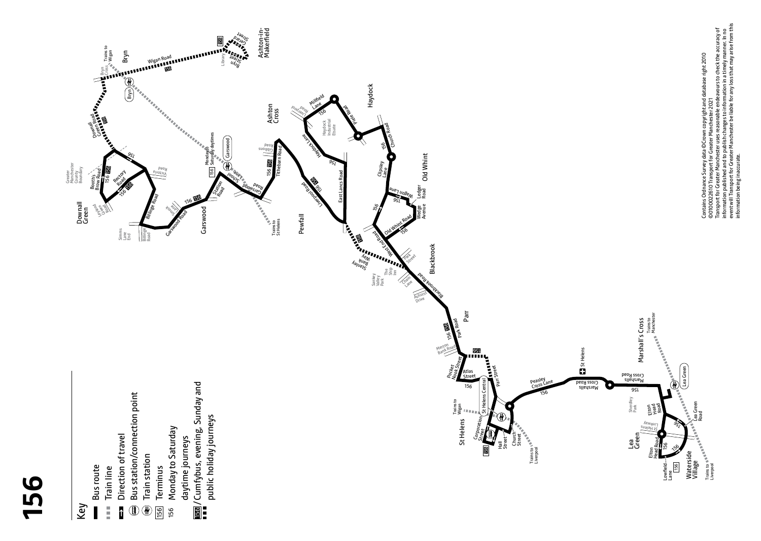



Manchester

- **Bus route** Bus route
- Train line Ē  $\mathbf{\hat{i}}$
- ◑
- Train station Train station  $\circledast$ 
	- Terminus 156
- Monday to Saturday daytime journeys daytime journeys 156
- /Cumfybus, evening, Sunday and 156



information published and to publish changes to information in a timely manner. In no event will Transport for Greater Manchester be liable for any loss that may arise from this

information being inaccurate.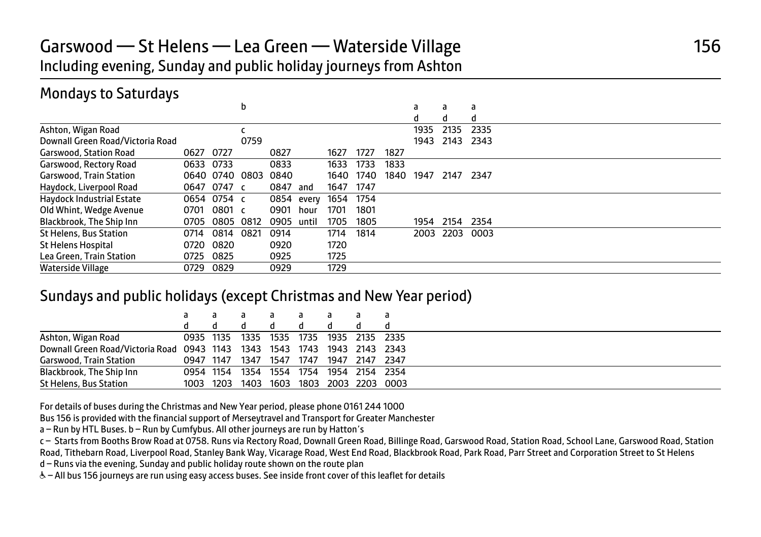## Garswood — St Helens — Lea Green — Waterside Village 156 Including evening, Sunday and public holiday journeys from Ashton

## Mondays to Saturdays

|                                  |      |                | b    |      |       |      |      |      | a    | a    | a    |
|----------------------------------|------|----------------|------|------|-------|------|------|------|------|------|------|
|                                  |      |                |      |      |       |      |      |      | d    | d    | d    |
| Ashton, Wigan Road               |      |                |      |      |       |      |      |      | 1935 | 2135 | 2335 |
| Downall Green Road/Victoria Road |      |                | 0759 |      |       |      |      |      | 1943 | 2143 | 2343 |
| <b>Garswood, Station Road</b>    | 0627 | 0727           |      | 0827 |       | 1627 | 1727 | 1827 |      |      |      |
| Garswood, Rectory Road           | 0633 | 0733           |      | 0833 |       | 1633 | 1733 | 1833 |      |      |      |
| <b>Garswood, Train Station</b>   |      | 0640 0740 0803 |      | 0840 |       | 1640 | 1740 | 1840 | 1947 | 2147 | 2347 |
| Haydock, Liverpool Road          |      | 0647 0747 c    |      | 0847 | and   | 1647 | 1747 |      |      |      |      |
| Haydock Industrial Estate        |      | 0654 0754 c    |      | 0854 | every | 1654 | 1754 |      |      |      |      |
| Old Whint, Wedge Avenue          | 0701 | 0801 c         |      | 0901 | hour  | 1701 | 1801 |      |      |      |      |
| Blackbrook, The Ship Inn         | 0705 | 0805 0812      |      | 0905 | until | 1705 | 1805 |      | 1954 | 2154 | 2354 |
| <b>St Helens, Bus Station</b>    | 0714 | 0814           | 0821 | 0914 |       | 1714 | 1814 |      | 2003 | 2203 | 0003 |
| <b>St Helens Hospital</b>        | 0720 | 0820           |      | 0920 |       | 1720 |      |      |      |      |      |
| Lea Green, Train Station         | 0725 | 0825           |      | 0925 |       | 1725 |      |      |      |      |      |
| Waterside Village                | 0729 | 0829           |      | 0929 |       | 1729 |      |      |      |      |      |

### Sundays and public holidays (except Christmas and New Year period)

|                                                                          |           |      | a              | а    | a    | a              |      |                     |  |
|--------------------------------------------------------------------------|-----------|------|----------------|------|------|----------------|------|---------------------|--|
|                                                                          |           |      | a              |      | a    |                |      |                     |  |
| Ashton, Wigan Road                                                       | 0935 1135 |      | 1335 1535 1735 |      |      | 1935 2135 2335 |      |                     |  |
| Downall Green Road/Victoria Road 0943 1143 1343 1543 1743 1943 2143 2343 |           |      |                |      |      |                |      |                     |  |
| Garswood, Train Station                                                  | 0947 1147 |      | 1347           | 1547 | 1747 | 1947           | 2147 | 2347                |  |
| Blackbrook, The Ship Inn                                                 | 0954 1154 |      | 1354           | 1554 | 1754 | 1954 2154 2354 |      |                     |  |
| St Helens, Bus Station                                                   | 1003      | 1203 | 1403           | 1603 |      |                |      | 1803 2003 2203 0003 |  |

For details of buses during the Christmas and New Year period, please phone 0161 244 1000

Bus 156 is provided with the financial support of Merseytravel and Transport for Greater Manchester

a – Run by HTL Buses. b – Run by Cumfybus. All other journeys are run by Hatton's

c – Starts from Booths Brow Road at 0758. Runs via Rectory Road, Downall Green Road, Billinge Road, Garswood Road, Station Road, School Lane, Garswood Road, Station Road, Tithebarn Road, Liverpool Road, Stanley Bank Way, Vicarage Road, West End Road, Blackbrook Road, Park Road, Parr Street and Corporation Street to St Helens

d – Runs via the evening, Sunday and public holiday route shown on the route plan

W– All bus 156 journeys are run using easy access buses. See inside front cover of this leaflet for details